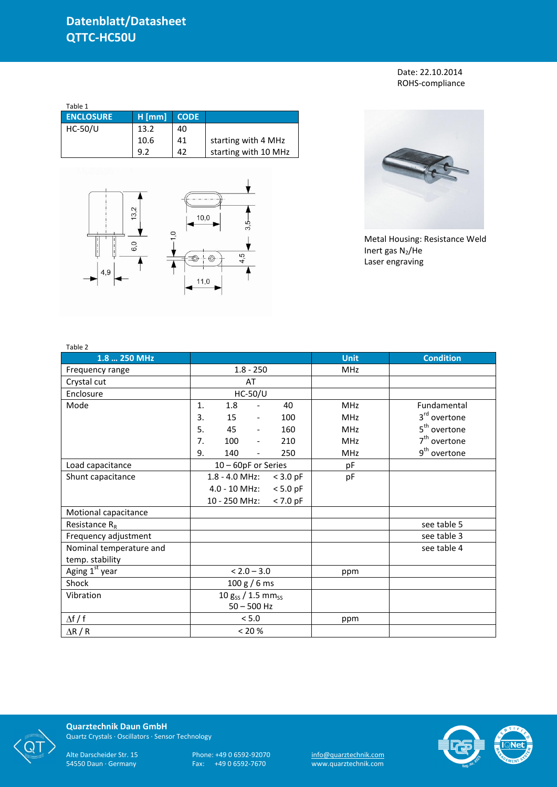Date: 22.10.2014 ROHS-compliance

| Table 1          |          |             |                      |
|------------------|----------|-------------|----------------------|
| <b>ENCLOSURE</b> | $H$ [mm] | <b>CODE</b> |                      |
| $HC-50/U$        | 13.2     | 40          |                      |
|                  | 10.6     | 41          | starting with 4 MHz  |
|                  | 9.2      | 42          | starting with 10 MHz |





Metal Housing: Resistance Weld Inert gas  $N_2$ /He Laser engraving

| Table 2                    |                                    |                |                          |            |             |                          |
|----------------------------|------------------------------------|----------------|--------------------------|------------|-------------|--------------------------|
| 1.8  250 MHz               |                                    |                |                          |            | <b>Unit</b> | <b>Condition</b>         |
| Frequency range            | $1.8 - 250$                        |                |                          |            | <b>MHz</b>  |                          |
| Crystal cut                |                                    | AT             |                          |            |             |                          |
| Enclosure                  |                                    | <b>HC-50/U</b> |                          |            |             |                          |
| Mode                       | $\mathbf{1}$ .                     | 1.8            | $\overline{\phantom{a}}$ | 40         | <b>MHz</b>  | Fundamental              |
|                            | 3.                                 | 15             | $\overline{\phantom{a}}$ | 100        | <b>MHz</b>  | 3 <sup>rd</sup> overtone |
|                            | 5.                                 | 45             | $\overline{\phantom{a}}$ | 160        | <b>MHz</b>  | 5 <sup>th</sup> overtone |
|                            | 7.                                 | 100            | $\overline{\phantom{a}}$ | 210        | <b>MHz</b>  | $7th$ overtone           |
|                            | 9.                                 | 140            | $\overline{\phantom{a}}$ | 250        | <b>MHz</b>  | 9 <sup>th</sup> overtone |
| Load capacitance           | 10 - 60pF or Series                |                |                          |            | pF          |                          |
| Shunt capacitance          |                                    | 1.8 - 4.0 MHz: |                          | $<$ 3.0 pF | pF          |                          |
|                            |                                    | 4.0 - 10 MHz:  |                          | $< 5.0$ pF |             |                          |
|                            |                                    | 10 - 250 MHz:  |                          | $< 7.0$ pF |             |                          |
| Motional capacitance       |                                    |                |                          |            |             |                          |
| Resistance $R_R$           |                                    |                |                          |            |             | see table 5              |
| Frequency adjustment       |                                    |                |                          |            |             | see table 3              |
| Nominal temperature and    |                                    |                |                          |            |             | see table 4              |
| temp. stability            |                                    |                |                          |            |             |                          |
| Aging 1 <sup>st</sup> year | $< 2.0 - 3.0$                      |                |                          |            | ppm         |                          |
| Shock                      | 100 g / 6 ms                       |                |                          |            |             |                          |
| Vibration                  | 10 $g_{SS}$ / 1.5 mm <sub>ss</sub> |                |                          |            |             |                          |
|                            | $50 - 500$ Hz                      |                |                          |            |             |                          |
| $\Delta f / f$             | $< 5.0$                            |                |                          |            | ppm         |                          |
| $\Delta$ R / R             | < 20 %                             |                |                          |            |             |                          |



**Quarztechnik Daun GmbH** Quartz Crystals · Oscillators · Sensor Technology

Alte Darscheider Str. 15 Phone: +49 0 6592-92070 <u>info@quarztechnik.com</u>

54550 Daun · Germany Fax: +49 0 6592-7670 www.quarztechnik.com